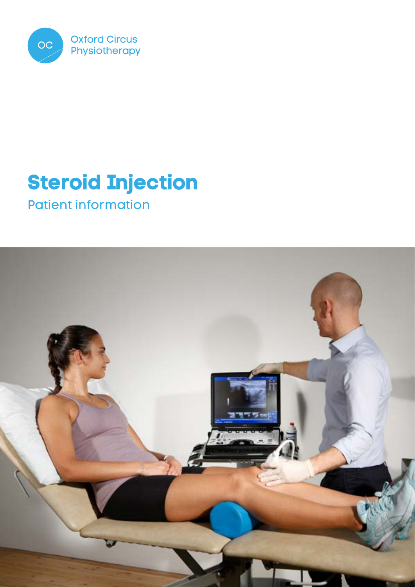

# **Steroid Injection**

Patient information

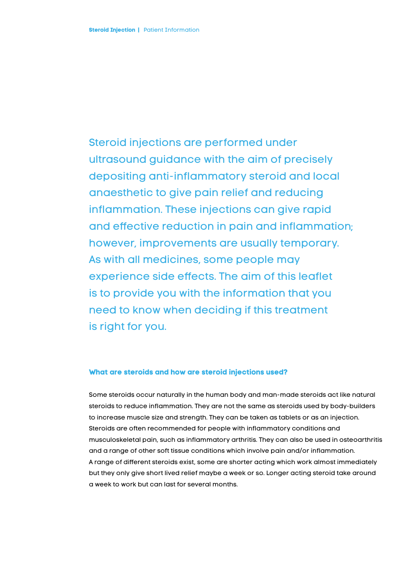Steroid injections are performed under ultrasound guidance with the aim of precisely depositing anti-inflammatory steroid and local anaesthetic to give pain relief and reducing inflammation. These injections can give rapid and effective reduction in pain and inflammation; however, improvements are usually temporary. As with all medicines, some people may experience side effects. The aim of this leaflet is to provide you with the information that you need to know when deciding if this treatment is right for you.

# **What are steroids and how are steroid injections used?**

Some steroids occur naturally in the human body and man-made steroids act like natural steroids to reduce inflammation. They are not the same as steroids used by body-builders to increase muscle size and strength. They can be taken as tablets or as an injection. Steroids are often recommended for people with inflammatory conditions and musculoskeletal pain, such as inflammatory arthritis. They can also be used in osteoarthritis and a range of other soft tissue conditions which involve pain and/or inflammation. A range of different steroids exist, some are shorter acting which work almost immediately but they only give short lived relief maybe a week or so. Longer acting steroid take around a week to work but can last for several months.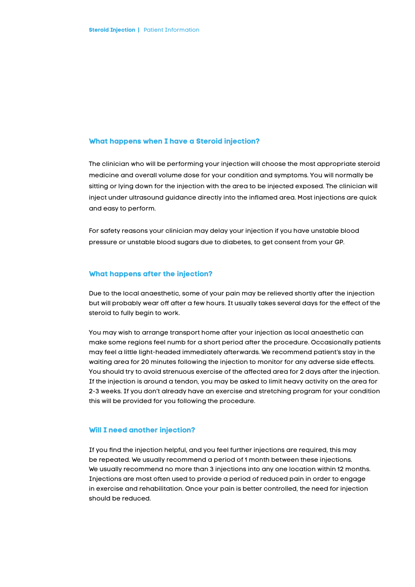## **What happens when I have a Steroid injection?**

The clinician who will be performing your injection will choose the most appropriate steroid medicine and overall volume dose for your condition and symptoms. You will normally be sitting or lying down for the injection with the area to be injected exposed. The clinician will inject under ultrasound guidance directly into the inflamed area. Most injections are quick and easy to perform.

For safety reasons your clinician may delay your injection if you have unstable blood pressure or unstable blood sugars due to diabetes, to get consent from your GP.

#### **What happens after the injection?**

Due to the local anaesthetic, some of your pain may be relieved shortly after the injection but will probably wear off after a few hours. It usually takes several days for the effect of the steroid to fully begin to work.

You may wish to arrange transport home after your injection as local anaesthetic can make some regions feel numb for a short period after the procedure. Occasionally patients may feel a little light-headed immediately afterwards. We recommend patient's stay in the waiting area for 20 minutes following the injection to monitor for any adverse side effects. You should try to avoid strenuous exercise of the affected area for 2 days after the injection. If the injection is around a tendon, you may be asked to limit heavy activity on the area for 2-3 weeks. If you don't already have an exercise and stretching program for your condition this will be provided for you following the procedure.

#### **Will I need another injection?**

If you find the injection helpful, and you feel further injections are required, this may be repeated. We usually recommend a period of 1 month between these injections. We usually recommend no more than 3 injections into any one location within 12 months. Injections are most often used to provide a period of reduced pain in order to engage in exercise and rehabilitation. Once your pain is better controlled, the need for injection should be reduced.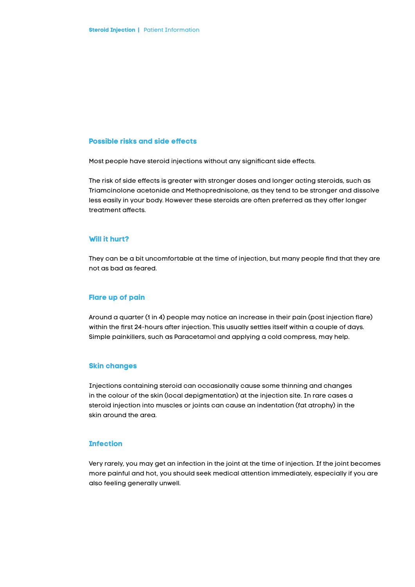## **Possible risks and side effects**

Most people have steroid injections without any significant side effects.

The risk of side effects is greater with stronger doses and longer acting steroids, such as Triamcinolone acetonide and Methoprednisolone, as they tend to be stronger and dissolve less easily in your body. However these steroids are often preferred as they offer longer treatment affects.

#### **Will it hurt?**

They can be a bit uncomfortable at the time of injection, but many people find that they are not as bad as feared.

#### **Flare up of pain**

Around a quarter (1 in 4) people may notice an increase in their pain (post injection flare) within the first 24-hours after injection. This usually settles itself within a couple of days. Simple painkillers, such as Paracetamol and applying a cold compress, may help.

## **Skin changes**

Injections containing steroid can occasionally cause some thinning and changes in the colour of the skin (local depigmentation) at the injection site. In rare cases a steroid injection into muscles or joints can cause an indentation (fat atrophy) in the skin around the area.

#### **Infection**

Very rarely, you may get an infection in the joint at the time of injection. If the joint becomes more painful and hot, you should seek medical attention immediately, especially if you are also feeling generally unwell.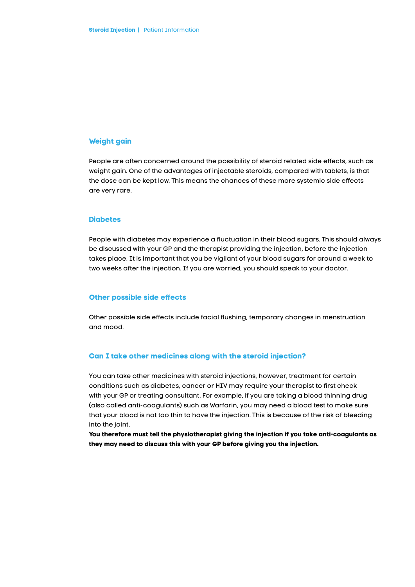# **Weight gain**

People are often concerned around the possibility of steroid related side effects, such as weight gain. One of the advantages of injectable steroids, compared with tablets, is that the dose can be kept low. This means the chances of these more systemic side effects are very rare.

## **Diabetes**

People with diabetes may experience a fluctuation in their blood sugars. This should always be discussed with your GP and the therapist providing the injection, before the injection takes place. It is important that you be vigilant of your blood sugars for around a week to two weeks after the injection. If you are worried, you should speak to your doctor.

## **Other possible side effects**

Other possible side effects include facial flushing, temporary changes in menstruation and mood.

## **Can I take other medicines along with the steroid injection?**

You can take other medicines with steroid injections, however, treatment for certain conditions such as diabetes, cancer or HIV may require your therapist to first check with your GP or treating consultant. For example, if you are taking a blood thinning drug (also called anti-coagulants) such as Warfarin, you may need a blood test to make sure that your blood is not too thin to have the injection. This is because of the risk of bleeding into the joint.

**You therefore must tell the physiotherapist giving the injection if you take anti-coagulants as they may need to discuss this with your GP before giving you the injection.**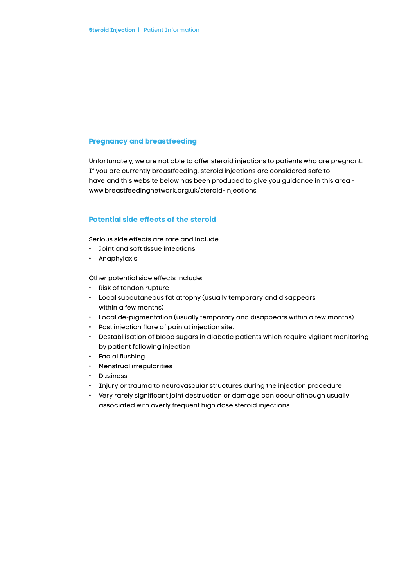# **Pregnancy and breastfeeding**

Unfortunately, we are not able to offer steroid injections to patients who are pregnant. If you are currently breastfeeding, steroid injections are considered safe to have and this website below has been produced to give you guidance in this area www.breastfeedingnetwork.org.uk/steroid-injections

# **Potential side effects of the steroid**

Serious side effects are rare and include:

- Joint and soft tissue infections
- Anaphylaxis

Other potential side effects include:

- Risk of tendon rupture
- Local subcutaneous fat atrophy (usually temporary and disappears within a few months)
- Local de-pigmentation (usually temporary and disappears within a few months)
- Post injection flare of pain at injection site.
- Destabilisation of blood sugars in diabetic patients which require vigilant monitoring by patient following injection
- Facial flushing
- Menstrual irregularities
- Dizziness
- Injury or trauma to neurovascular structures during the injection procedure
- Very rarely significant joint destruction or damage can occur although usually associated with overly frequent high dose steroid injections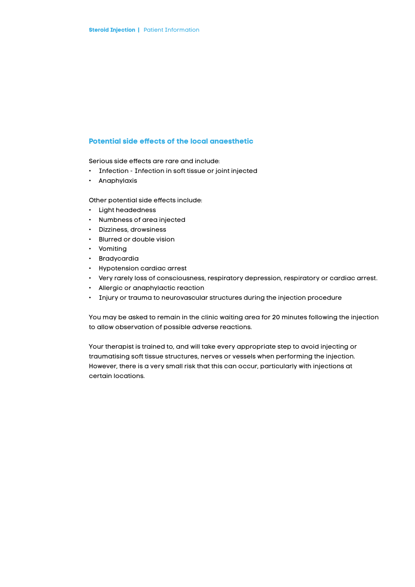# **Potential side effects of the local anaesthetic**

Serious side effects are rare and include:

- Infection Infection in soft tissue or joint injected
- Anaphylaxis

Other potential side effects include:

- Light headedness
- Numbness of area injected
- Dizziness, drowsiness
- Blurred or double vision
- Vomiting
- Bradycardia
- Hypotension cardiac arrest
- Very rarely loss of consciousness, respiratory depression, respiratory or cardiac arrest.
- Allergic or anaphylactic reaction
- Injury or trauma to neurovascular structures during the injection procedure

You may be asked to remain in the clinic waiting area for 20 minutes following the injection to allow observation of possible adverse reactions.

Your therapist is trained to, and will take every appropriate step to avoid injecting or traumatising soft tissue structures, nerves or vessels when performing the injection. However, there is a very small risk that this can occur, particularly with injections at certain locations.